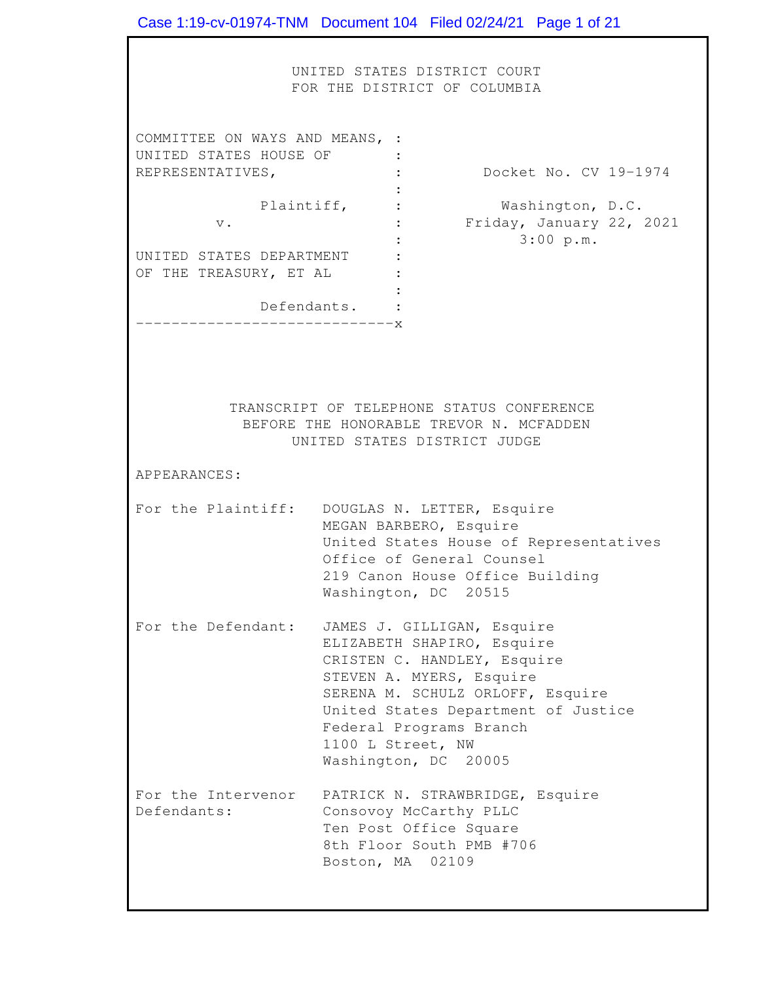UNITED STATES DISTRICT COURT FOR THE DISTRICT OF COLUMBIA COMMITTEE ON WAYS AND MEANS, : UNITED STATES HOUSE OF : REPRESENTATIVES, UNITED STATES DEPARTMENT : OF THE TREASURY, ET AL : TRANSCRIPT OF TELEPHONE STATUS CONFERENCE APPEARANCES:<br>For the Plaintiff: DOUGLAS N. LETTER, Esquire For the Defendant: JAMES J. GILLIGAN, Esquire For the Intervenor PATRICK N. STRAWBRIDGE, Esquire Defendants: Case 1:19-cv-01974-TNM Document 104 Filed 02/24/21 Page 1 of 21 : Docket No. CV 19-1974 : Plaintiff, : Washington, D.C. v. : Friday, January 22, 2021 : 3:00 p.m.  $\cdot$  : Defendants. : -----------------------------x BEFORE THE HONORABLE TREVOR N. MCFADDEN UNITED STATES DISTRICT JUDGE MEGAN BARBERO, Esquire United States House of Representatives Office of General Counsel 219 Canon House Office Building Washington, DC 20515 ELIZABETH SHAPIRO, Esquire CRISTEN C. HANDLEY, Esquire STEVEN A. MYERS, Esquire SERENA M. SCHULZ ORLOFF, Esquire United States Department of Justice Federal Programs Branch 1100 L Street, NW Washington, DC 20005 Consovoy McCarthy PLLC Ten Post Office Square 8th Floor South PMB #706 Boston, MA 02109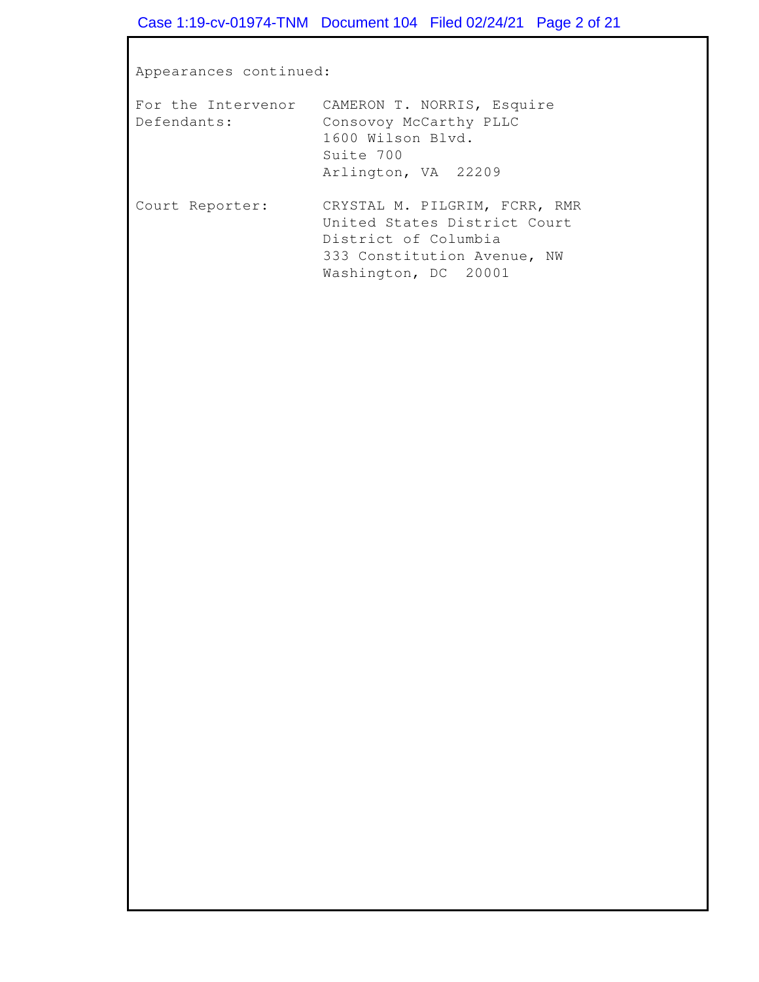Appearances continued:

|                 | For the Intervenor CAMERON T. NORRIS, Esquire                                   |
|-----------------|---------------------------------------------------------------------------------|
| Defendants:     | Consovoy McCarthy PLLC<br>1600 Wilson Blyd.<br>Suite 700<br>Arlington, VA 22209 |
| Court Reporter: | CRYSTAL M. PILGRIM, FCRR, RMR                                                   |

| rt keporter: | CRISIAL M. FILGRIM, FCRR, RMR |
|--------------|-------------------------------|
|              | United States District Court  |
|              | District of Columbia          |
|              | 333 Constitution Avenue, NW   |
|              | Washington, DC 20001          |
|              |                               |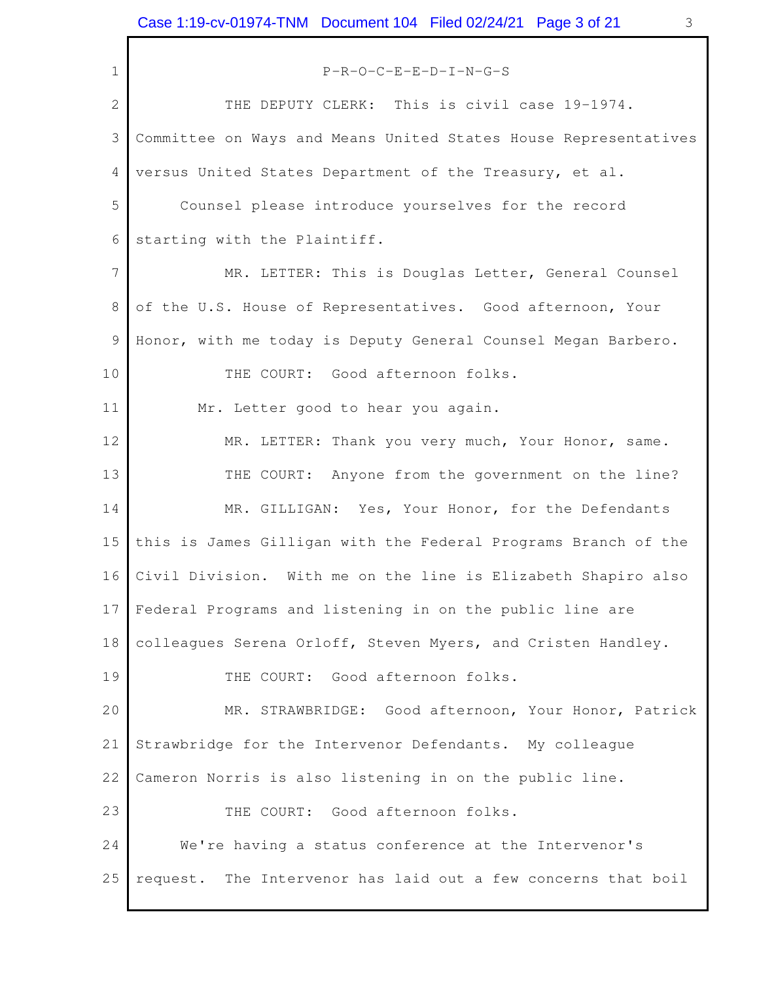<span id="page-2-0"></span>THE DEPUTY CLERK: This is civil case 19-1974. Committee on Ways and Means United States House Representatives versus United States Department of the Treasury, et al. Counsel please introduce yourselves for the record starting with the Plaintiff. of the U.S. House of Representatives. Good afternoon, Your Honor, with me today is Deputy General Counsel Megan Barbero. THE COURT: Good afternoon folks. THE COURT: Anyone from the government on the line? this is James Gilligan with the Federal Programs Branch of the Civil Division. With me on the line is Elizabeth Shapiro also Federal Programs and listening in on the public line are colleagues Serena Orloff, Steven Myers, and Cristen Handley. THE COURT: Good afternoon folks. Strawbridge for the Intervenor Defendants. My colleague Cameron Norris is also listening in on the public line. THE COURT: Good afternoon folks. We're having a status conference at the Intervenor's request. 1 2 3 4 5 6 7 8 9 10 11 12 13 14 15 16 17 18 19 20 21 22 23 24 P-R-O-C-E-E-D-I-N-G-S MR. LETTER: This is Douglas Letter, General Counsel Mr. Letter good to hear you again. MR. LETTER: Thank you very much, Your Honor, same. MR. GILLIGAN: Yes, Your Honor, for the Defendants MR. STRAWBRIDGE: Good afternoon, Your Honor, Patrick 25 request. The Intervenor has laid out a few concerns that boil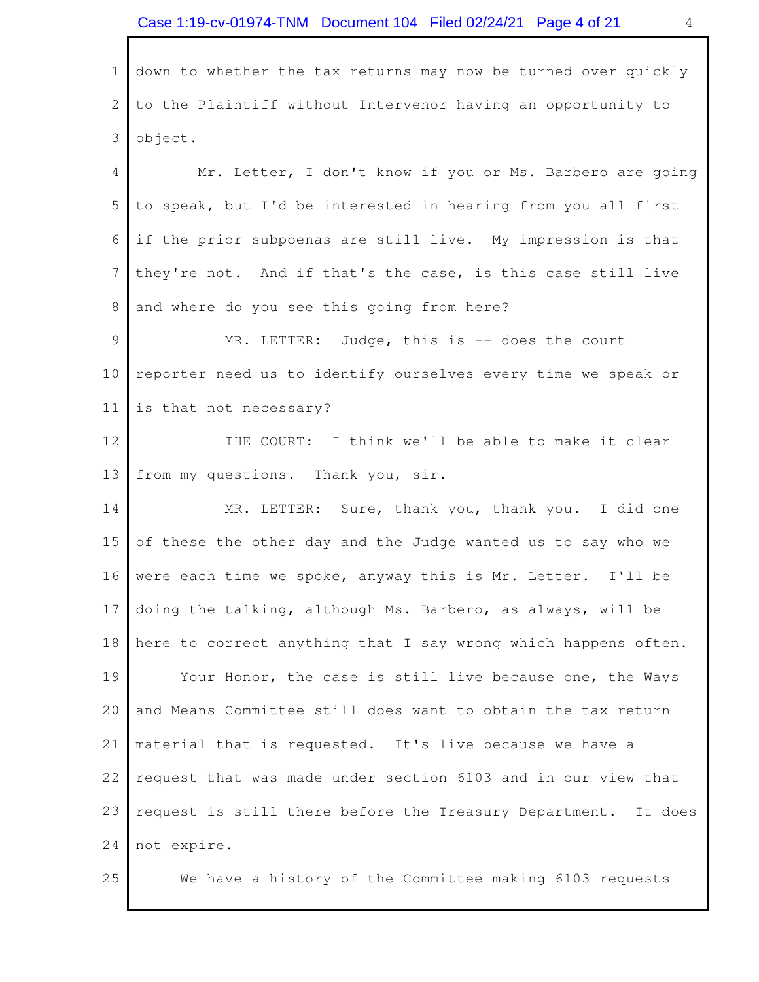<span id="page-3-0"></span> down to whether the tax returns may now be turned over quickly to the Plaintiff without Intervenor having an opportunity to 1 2 3 object.

 to speak, but I'd be interested in hearing from you all first if the prior subpoenas are still live. My impression is that they're not. And if that's the case, is this case still live and where do you see this going from here? 4 5 6 7 8 Mr. Letter, I don't know if you or Ms. Barbero are going

MR. LETTER: reporter need us to identify ourselves every time we speak or is that not necessary? 9 10 11 Judge, this is  $-$  does the court

 THE COURT: I think we'll be able to make it clear from my questions. Thank you, sir. 12 13

 MR. LETTER: Sure, thank you, thank you. I did one of these the other day and the Judge wanted us to say who we were each time we spoke, anyway this is Mr. Letter. I'll be doing the talking, although Ms. Barbero, as always, will be here to correct anything that I say wrong which happens often. Your Honor, the case is still live because one, the Ways and Means Committee still does want to obtain the tax return material that is requested. It's live because we have a request that was made under section 6103 and in our view that request is still there before the Treasury Department. It does 14 15 16 17 18 19 20 21 22 23 24 not expire.

25 We have a history of the Committee making 6103 requests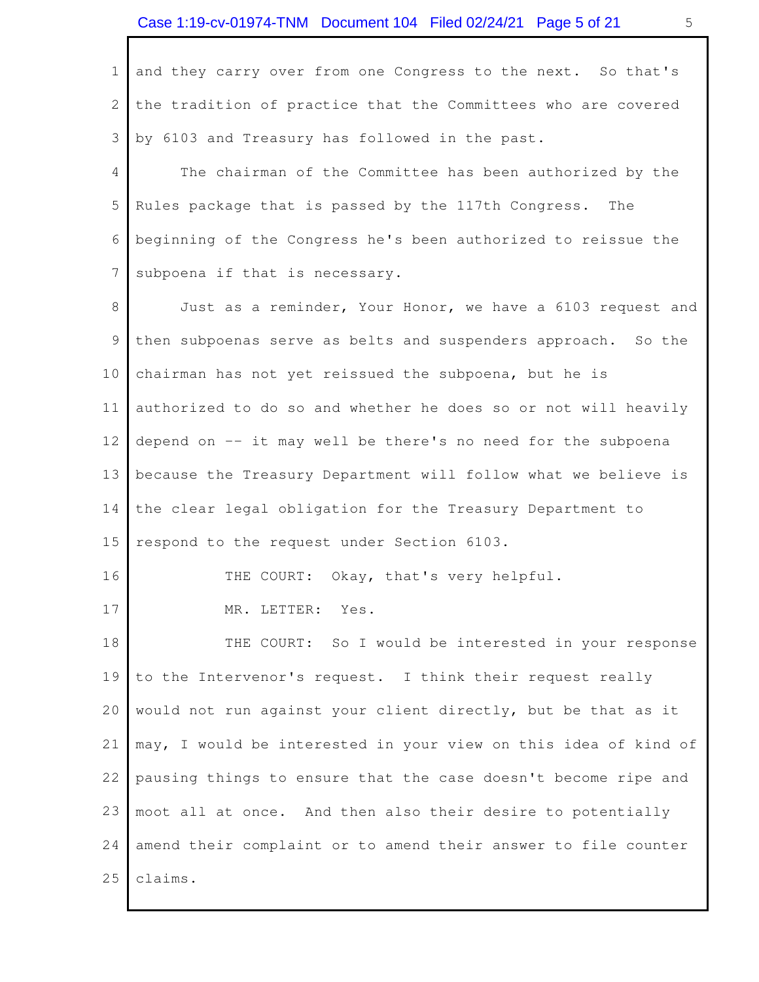and they carry over from one Congress to the next. So that's the tradition of practice that the Committees who are covered by 6103 and Treasury has followed in the past. 1 2 3

 The chairman of the Committee has been authorized by the Rules package that is passed by the 117th Congress. The beginning of the Congress he's been authorized to reissue the subpoena if that is necessary. 4 5 6 7

 Just as a reminder, Your Honor, we have a 6103 request and then subpoenas serve as belts and suspenders approach. So the chairman has not yet reissued the subpoena, but he is authorized to do so and whether he does so or not will heavily depend on -- it may well be there's no need for the subpoena because the Treasury Department will follow what we believe is the clear legal obligation for the Treasury Department to respond to the request under Section 6103. 8 9 10 11 12 13 14 15

THE COURT: Okay, that's very helpful.

 MR. LETTER: Yes. 17

16

THE COURT: So I would be interested in your response to the Intervenor's request. I think their request really would not run against your client directly, but be that as it may, I would be interested in your view on this idea of kind of pausing things to ensure that the case doesn't become ripe and moot all at once. And then also their desire to potentially amend their complaint or to amend their answer to file counter 18 19 20 21 22 23 24 25 claims.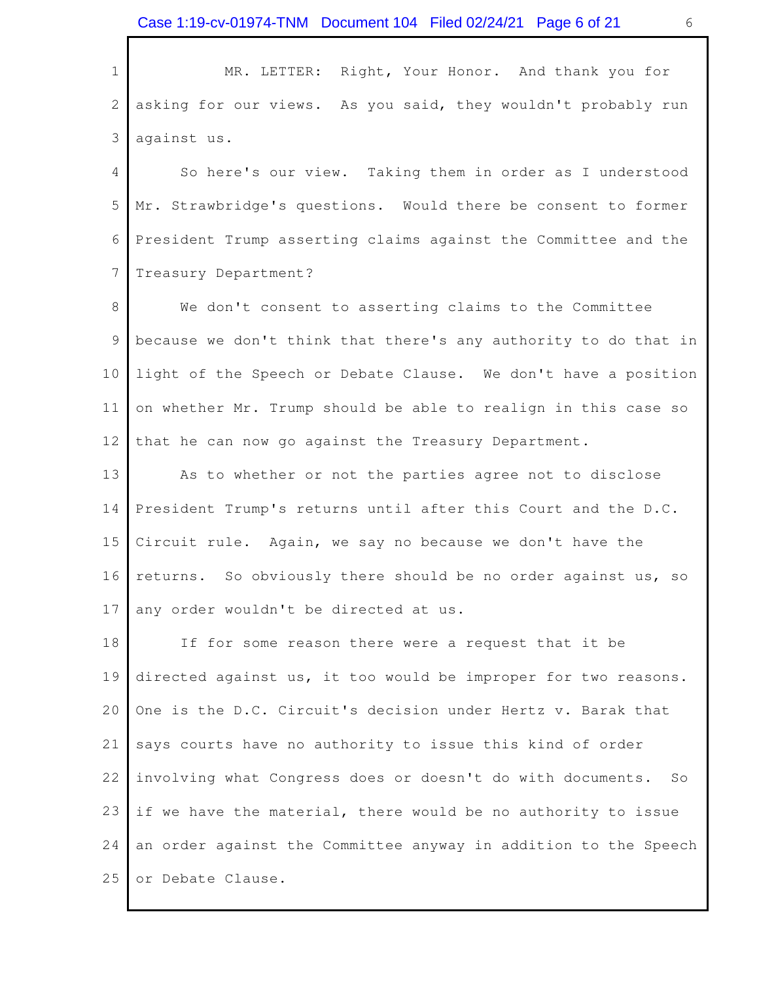MR. LETTER: Right, Your Honor. And thank you for asking for our views. As you said, they wouldn't probably run against us. 1 2 3

 So here's our view. Taking them in order as I understood Mr. Strawbridge's questions. Would there be consent to former President Trump asserting claims against the Committee and the 4 5 6 7 Treasury Department?

 We don't consent to asserting claims to the Committee because we don't think that there's any authority to do that in light of the Speech or Debate Clause. We don't have a position on whether Mr. Trump should be able to realign in this case so that he can now go against the Treasury Department. 8 9 10 11 12

 As to whether or not the parties agree not to disclose President Trump's returns until after this Court and the D.C. Circuit rule. Again, we say no because we don't have the returns. So obviously there should be no order against us, so any order wouldn't be directed at us. 13 14 15 16 17

 If for some reason there were a request that it be directed against us, it too would be improper for two reasons. One is the D.C. Circuit's decision under Hertz v. Barak that says courts have no authority to issue this kind of order involving what Congress does or doesn't do with documents. So if we have the material, there would be no authority to issue an order against the Committee anyway in addition to the Speech 25 or Debate Clause. 18 19 20 21 22 23 24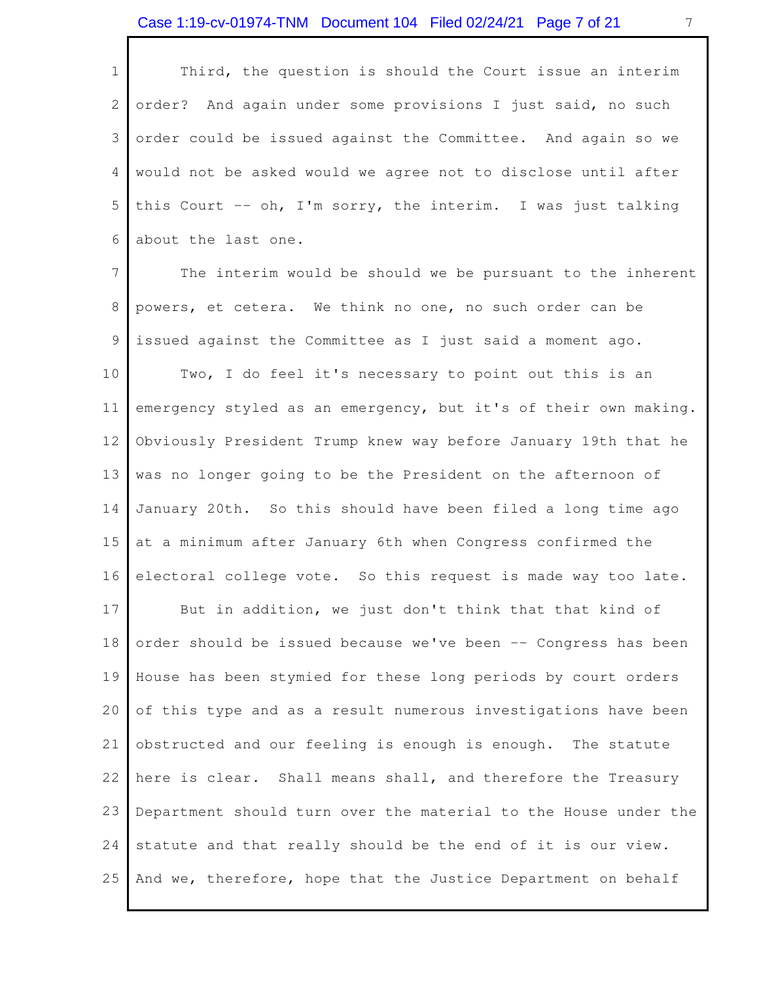<span id="page-6-0"></span>

| $1 \mid$       | Third, the question is should the Court issue an interim        |
|----------------|-----------------------------------------------------------------|
| 2 <sup>1</sup> | order? And again under some provisions I just said, no such     |
|                | 3 order could be issued against the Committee. And again so we  |
|                | 4 would not be asked would we agree not to disclose until after |
|                | 5 this Court -- oh, I'm sorry, the interim. I was just talking  |
|                | 6 about the last one.                                           |

 The interim would be should we be pursuant to the inherent powers, et cetera. We think no one, no such order can be issued against the Committee as I just said a moment ago. Two, I do feel it's necessary to point out this is an emergency styled as an emergency, but it's of their own making. Obviously President Trump knew way before January 19th that he was no longer going to be the President on the afternoon of January 20th. So this should have been filed a long time ago at a minimum after January 6th when Congress confirmed the electoral college vote. So this request is made way too late. But in addition, we just don't think that that kind of order should be issued because we've been -- Congress has been House has been stymied for these long periods by court orders of this type and as a result numerous investigations have been obstructed and our feeling is enough is enough. The statute here is clear. Shall means shall, and therefore the Treasury Department should turn over the material to the House under the statute and that really should be the end of it is our view. 25 And we, therefore, hope that the Justice Department on behalf 7 8 9 10 11 12 13 14 15 16 17 18 19 20 21 22 23 24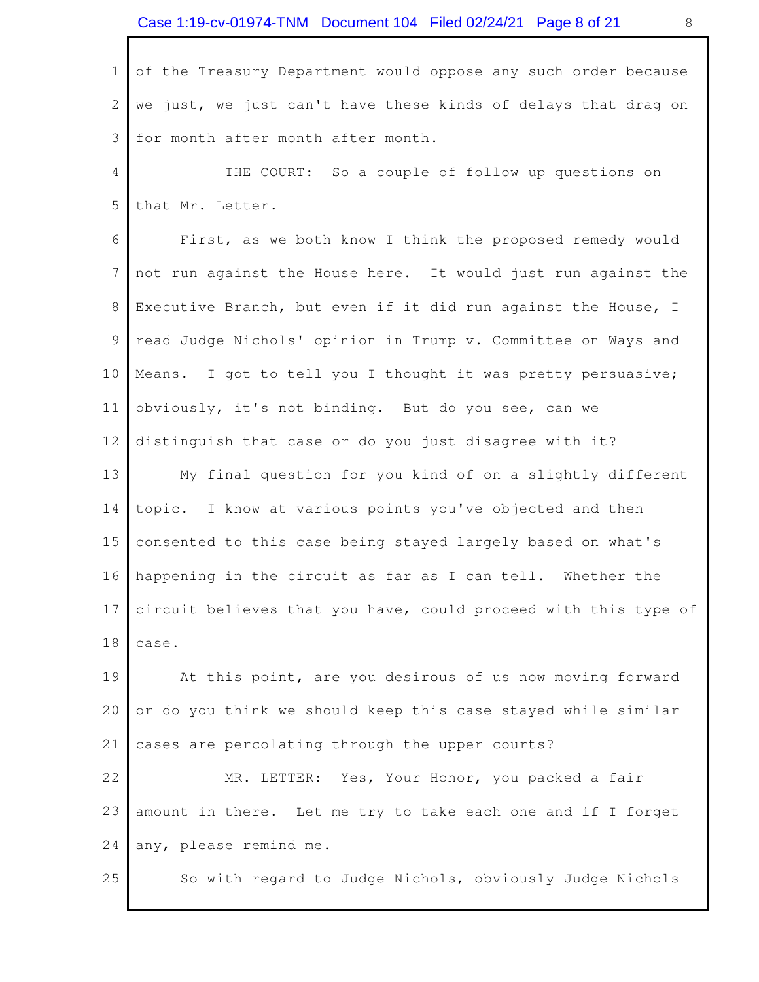of the Treasury Department would oppose any such order because we just, we just can't have these kinds of delays that drag on for month after month after month. 1 2 3

THE COURT: So a couple of follow up questions on that Mr. Letter. 4 5

First, as we both know I think the proposed remedy would not run against the House here. It would just run against the Executive Branch, but even if it did run against the House, I read Judge Nichols' opinion in Trump v. Committee on Ways and Means. I got to tell you I thought it was pretty persuasive; obviously, it's not binding. But do you see, can we distinguish that case or do you just disagree with it? My final question for you kind of on a slightly different topic. I know at various points you've objected and then 6 7 8 9 10 11 12 13 14

 consented to this case being stayed largely based on what's happening in the circuit as far as I can tell. Whether the circuit believes that you have, could proceed with this type of 15 16 17 18 case.

 At this point, are you desirous of us now moving forward or do you think we should keep this case stayed while similar cases are percolating through the upper courts? 19 20 21

 MR. LETTER: Yes, Your Honor, you packed a fair amount in there. Let me try to take each one and if I forget any, please remind me. 22 23 24

25 So with regard to Judge Nichols, obviously Judge Nichols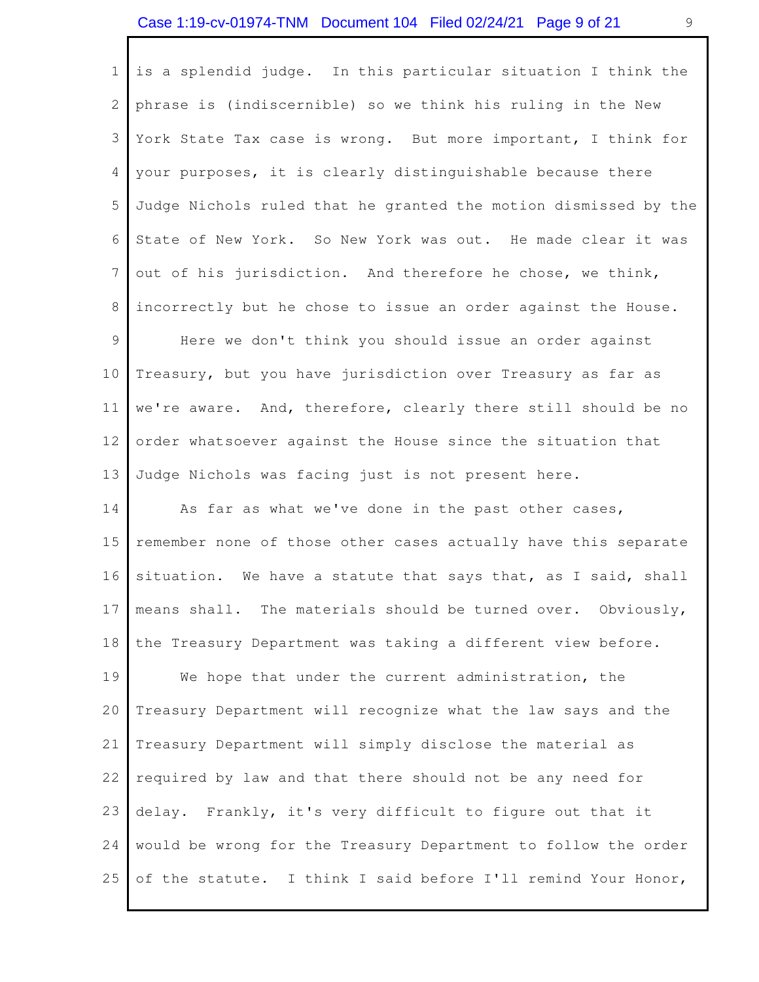<span id="page-8-0"></span> is a splendid judge. In this particular situation I think the phrase is (indiscernible) so we think his ruling in the New York State Tax case is wrong. But more important, I think for your purposes, it is clearly distinguishable because there Judge Nichols ruled that he granted the motion dismissed by the State of New York. So New York was out. He made clear it was out of his jurisdiction. And therefore he chose, we think, incorrectly but he chose to issue an order against the House. Here we don't think you should issue an order against Treasury, but you have jurisdiction over Treasury as far as we're aware. And, therefore, clearly there still should be no order whatsoever against the House since the situation that 1 2 3 4 5 6 7 8 9 10 11 12

 Judge Nichols was facing just is not present here. 13

As far as what we've done in the past other cases, remember none of those other cases actually have this separate situation. We have a statute that says that, as I said, shall means shall. The materials should be turned over. Obviously, the Treasury Department was taking a different view before. We hope that under the current administration, the Treasury Department will recognize what the law says and the Treasury Department will simply disclose the material as required by law and that there should not be any need for delay. Frankly, it's very difficult to figure out that it would be wrong for the Treasury Department to follow the order of the statute. I think I said before I'll remind Your Honor, 14 15 16 17 18 19 20 21 22 23 24 25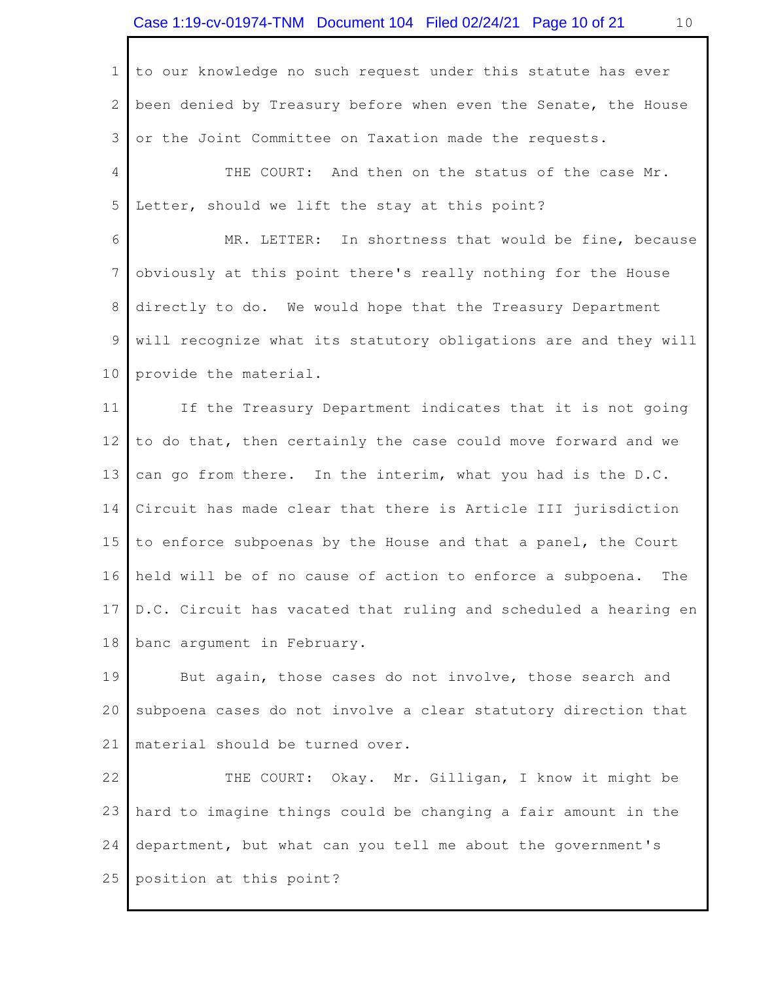<span id="page-9-0"></span>

| $\mathbf{1}$ | to our knowledge no such request under this statute has ever       |
|--------------|--------------------------------------------------------------------|
| $\mathbf{2}$ | been denied by Treasury before when even the Senate, the House     |
| 3            | or the Joint Committee on Taxation made the requests.              |
| 4            | THE COURT: And then on the status of the case Mr.                  |
| 5            | Letter, should we lift the stay at this point?                     |
| 6            | MR. LETTER: In shortness that would be fine, because               |
| 7            | obviously at this point there's really nothing for the House       |
| 8            | directly to do. We would hope that the Treasury Department         |
| 9            | will recognize what its statutory obligations are and they will    |
| 10           | provide the material.                                              |
| 11           | If the Treasury Department indicates that it is not going          |
| 12           | to do that, then certainly the case could move forward and we      |
| 13           | can go from there. In the interim, what you had is the D.C.        |
| 14           | Circuit has made clear that there is Article III jurisdiction      |
| 15           | to enforce subpoenas by the House and that a panel, the Court      |
| 16           | held will be of no cause of action to enforce a subpoena.<br>The   |
|              | 17 D.C. Circuit has vacated that ruling and scheduled a hearing en |
| 18           | banc argument in February.                                         |
| 19           | But again, those cases do not involve, those search and            |
| 20           | subpoena cases do not involve a clear statutory direction that     |
| 21           | material should be turned over.                                    |
| 22           | THE COURT: Okay. Mr. Gilligan, I know it might be                  |
| 23           | hard to imagine things could be changing a fair amount in the      |
| 24           | department, but what can you tell me about the government's        |

25 position at this point?

 $\Gamma$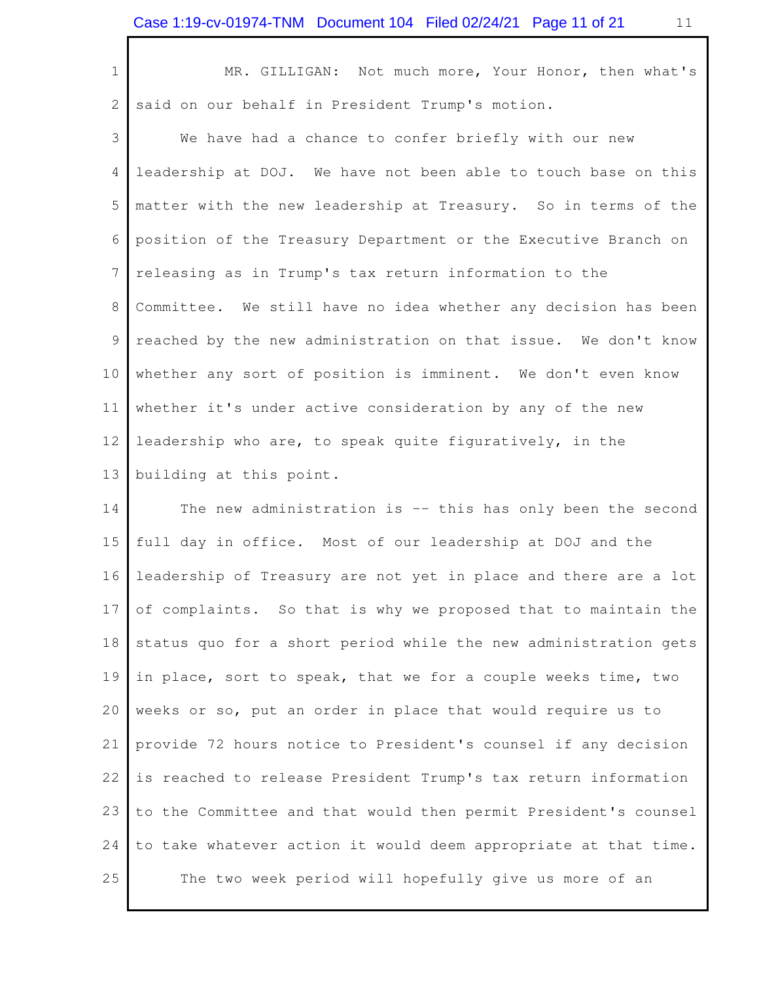| $\mathbf 1$    | MR. GILLIGAN: Not much more, Your Honor, then what's            |
|----------------|-----------------------------------------------------------------|
| 2              | said on our behalf in President Trump's motion.                 |
| 3              | We have had a chance to confer briefly with our new             |
| $\overline{4}$ | leadership at DOJ. We have not been able to touch base on this  |
| 5              | matter with the new leadership at Treasury. So in terms of the  |
| 6              | position of the Treasury Department or the Executive Branch on  |
| 7              | releasing as in Trump's tax return information to the           |
| $\,8\,$        | Committee. We still have no idea whether any decision has been  |
| $\mathsf 9$    | reached by the new administration on that issue. We don't know  |
| 10             | whether any sort of position is imminent. We don't even know    |
| 11             | whether it's under active consideration by any of the new       |
| 12             | leadership who are, to speak quite figuratively, in the         |
|                |                                                                 |
| 13             | building at this point.                                         |
| 14             | The new administration is -- this has only been the second      |
| 15             | full day in office. Most of our leadership at DOJ and the       |
| 16             | leadership of Treasury are not yet in place and there are a lot |
| 17             | of complaints. So that is why we proposed that to maintain the  |
| 18             | status quo for a short period while the new administration gets |
| 19             | in place, sort to speak, that we for a couple weeks time, two   |
| 20             | weeks or so, put an order in place that would require us to     |
| 21             | provide 72 hours notice to President's counsel if any decision  |
| 22             | is reached to release President Trump's tax return information  |
| 23             | to the Committee and that would then permit President's counsel |

25 The two week period will hopefully give us more of an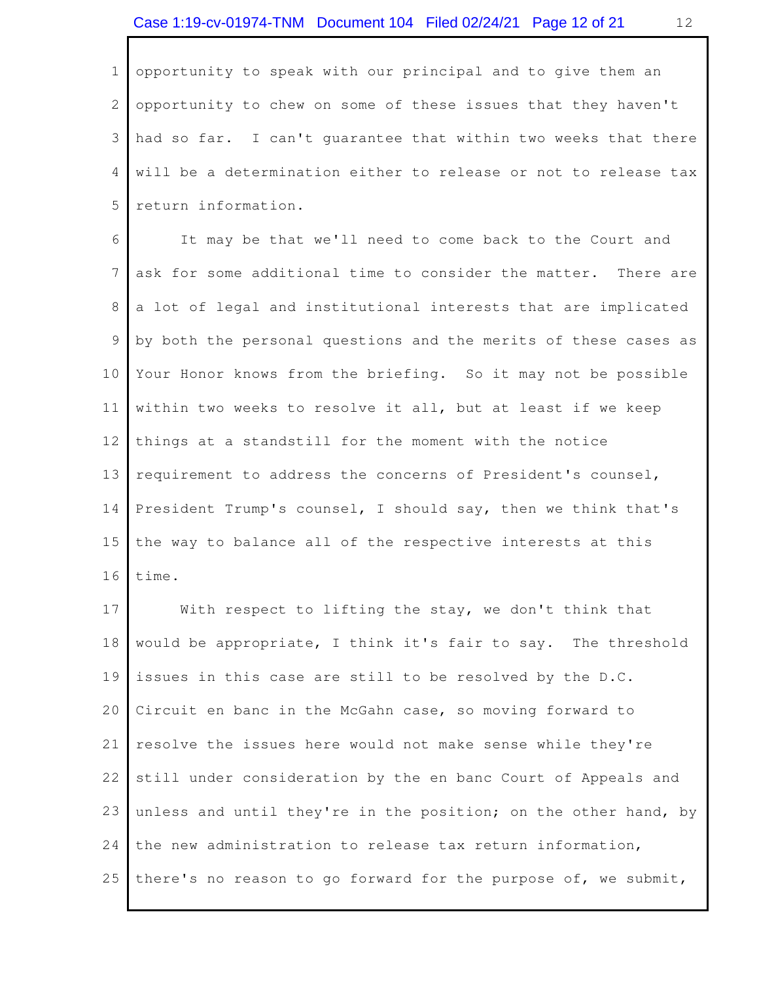opportunity to speak with our principal and to give them an opportunity to chew on some of these issues that they haven't had so far. I can't guarantee that within two weeks that there will be a determination either to release or not to release tax 1 2 3 4 5 return information.

 It may be that we'll need to come back to the Court and ask for some additional time to consider the matter. There are a lot of legal and institutional interests that are implicated by both the personal questions and the merits of these cases as Your Honor knows from the briefing. So it may not be possible within two weeks to resolve it all, but at least if we keep things at a standstill for the moment with the notice requirement to address the concerns of President's counsel, President Trump's counsel, I should say, then we think that's the way to balance all of the respective interests at this 6 7 8 9 10 11 12 13 14 15 16 time.

With respect to lifting the stay, we don't think that would be appropriate, I think it's fair to say. The threshold issues in this case are still to be resolved by the D.C. Circuit en banc in the McGahn case, so moving forward to resolve the issues here would not make sense while they're still under consideration by the en banc Court of Appeals and unless and until they're in the position; on the other hand, by the new administration to release tax return information, 25 there's no reason to go forward for the purpose of, we submit, 17 18 19 20 21 22 23 24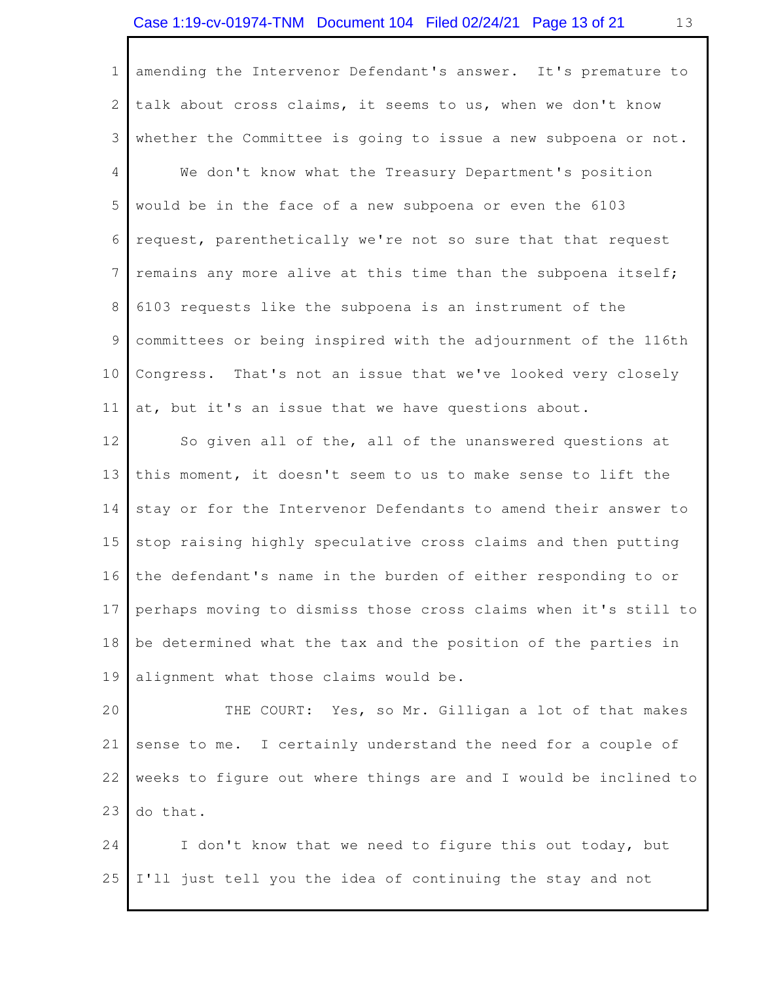amending the Intervenor Defendant's answer. It's premature to talk about cross claims, it seems to us, when we don't know whether the Committee is going to issue a new subpoena or not. We don't know what the Treasury Department's position would be in the face of a new subpoena or even the 6103 request, parenthetically we're not so sure that that request remains any more alive at this time than the subpoena itself; 6103 requests like the subpoena is an instrument of the committees or being inspired with the adjournment of the 116th Congress. That's not an issue that we've looked very closely at, but it's an issue that we have questions about. So given all of the, all of the unanswered questions at this moment, it doesn't seem to us to make sense to lift the stay or for the Intervenor Defendants to amend their answer to stop raising highly speculative cross claims and then putting the defendant's name in the burden of either responding to or perhaps moving to dismiss those cross claims when it's still to be determined what the tax and the position of the parties in alignment what those claims would be. 1 2 3 4 5 6 7 8 9 10 11 12 13 14 15 16 17 18 19

THE COURT: Yes, so Mr. Gilligan a lot of that makes sense to me. weeks to figure out where things are and I would be inclined to 20 21 22 23 I certainly understand the need for a couple of do that.

I don't know that we need to figure this out today, but 25 I'll just tell you the idea of continuing the stay and not 24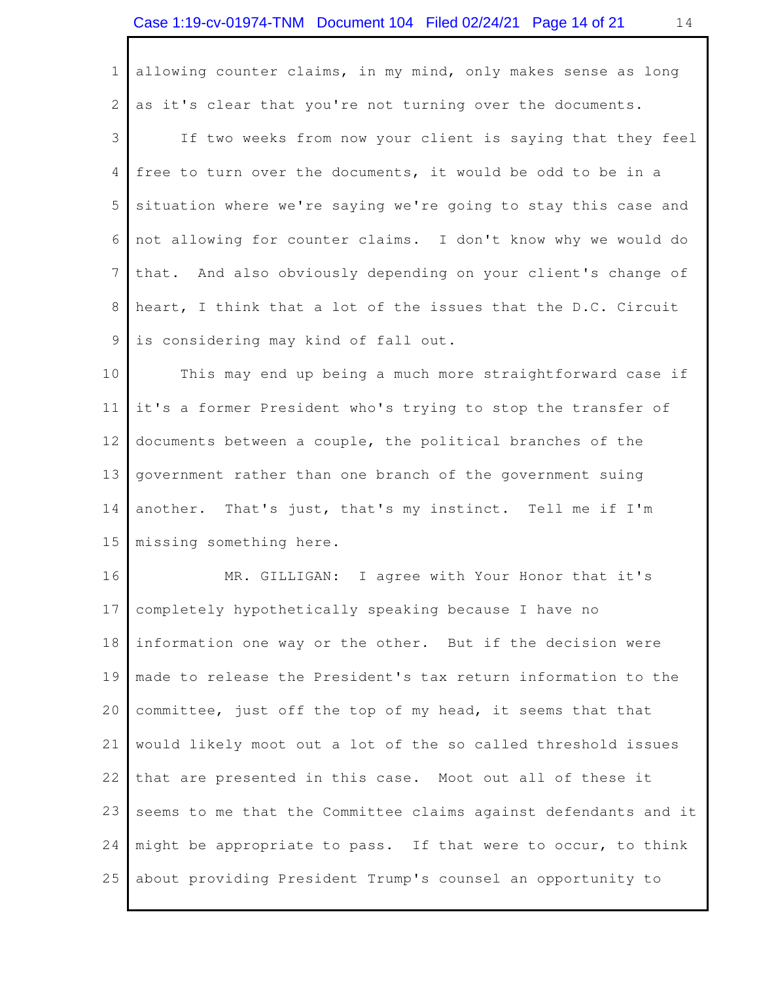allowing counter claims, in my mind, only makes sense as long as it's clear that you're not turning over the documents. 1 2

 If two weeks from now your client is saying that they feel free to turn over the documents, it would be odd to be in a situation where we're saying we're going to stay this case and not allowing for counter claims. I don't know why we would do that. And also obviously depending on your client's change of heart, I think that a lot of the issues that the D.C. Circuit is considering may kind of fall out. 3 4 5 6 7 8 9

 This may end up being a much more straightforward case if it's a former President who's trying to stop the transfer of documents between a couple, the political branches of the government rather than one branch of the government suing another. That's just, that's my instinct. Tell me if I'm missing something here. 10 11 12 13 14 15

 MR. GILLIGAN: I agree with Your Honor that it's completely hypothetically speaking because I have no information one way or the other. But if the decision were made to release the President's tax return information to the committee, just off the top of my head, it seems that that would likely moot out a lot of the so called threshold issues that are presented in this case. Moot out all of these it seems to me that the Committee claims against defendants and it might be appropriate to pass. If that were to occur, to think 25 about providing President Trump's counsel an opportunity to 16 17 18 19 20 21 22 23 24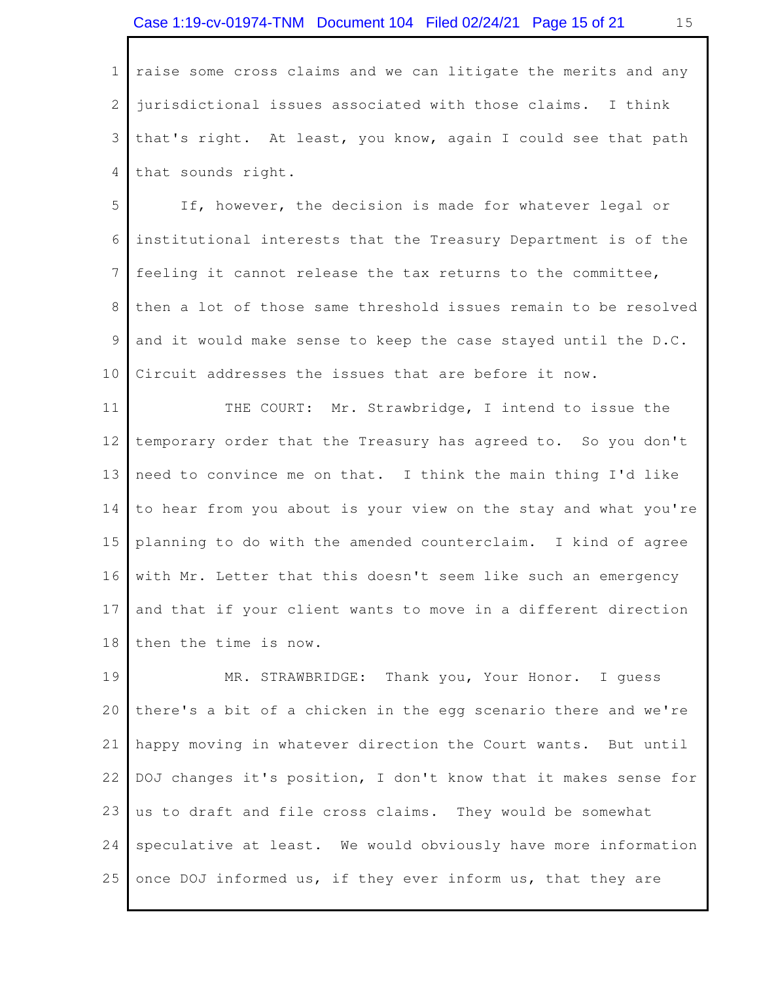raise some cross claims and we can litigate the merits and any jurisdictional issues associated with those claims. I think that's right. At least, you know, again I could see that path that sounds right. 1 2 3 4

 If, however, the decision is made for whatever legal or institutional interests that the Treasury Department is of the feeling it cannot release the tax returns to the committee, then a lot of those same threshold issues remain to be resolved and it would make sense to keep the case stayed until the D.C. Circuit addresses the issues that are before it now. 5 6 7 8 9 10

 THE COURT: Mr. Strawbridge, I intend to issue the temporary order that the Treasury has agreed to. So you don't need to convince me on that. I think the main thing I'd like to hear from you about is your view on the stay and what you're planning to do with the amended counterclaim. I kind of agree with Mr. Letter that this doesn't seem like such an emergency and that if your client wants to move in a different direction then the time is now. 11 12 13 14 15 16 17 18

 MR. STRAWBRIDGE: Thank you, Your Honor. I guess there's a bit of a chicken in the egg scenario there and we're happy moving in whatever direction the Court wants. But until DOJ changes it's position, I don't know that it makes sense for us to draft and file cross claims. They would be somewhat speculative at least. We would obviously have more information 25 once DOJ informed us, if they ever inform us, that they are 19 20 21 22 23 24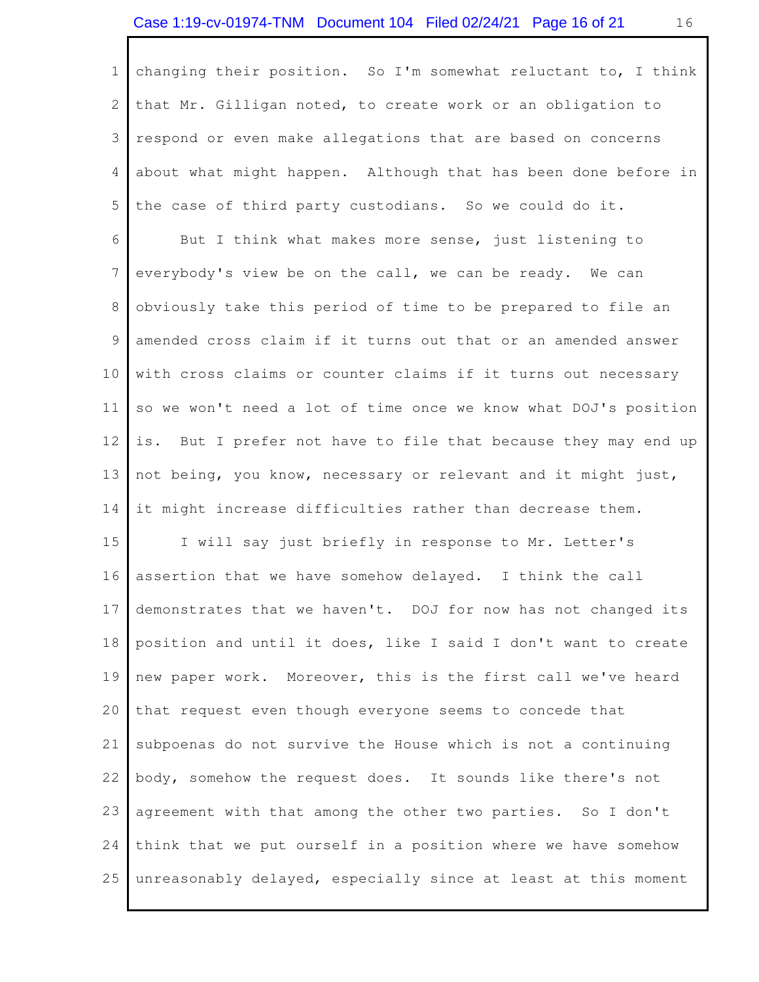changing their position. So I'm somewhat reluctant to, I think that Mr. Gilligan noted, to create work or an obligation to respond or even make allegations that are based on concerns about what might happen. Although that has been done before in the case of third party custodians. So we could do it. 1 2 3 4 5

 But I think what makes more sense, just listening to everybody's view be on the call, we can be ready. We can obviously take this period of time to be prepared to file an amended cross claim if it turns out that or an amended answer with cross claims or counter claims if it turns out necessary so we won't need a lot of time once we know what DOJ's position  $\frac{1}{1}$  S  $\frac{1}{2}$  not being, you know, necessary or relevant and it might just, it might increase difficulties rather than decrease them. 6 7 8 9 10 11 12 13 14 But I prefer not have to file that because they may end up

 I will say just briefly in response to Mr. Letter's assertion that we have somehow delayed. I think the call demonstrates that we haven't. DOJ for now has not changed its position and until it does, like I said I don't want to create new paper work. Moreover, this is the first call we've heard that request even though everyone seems to concede that subpoenas do not survive the House which is not a continuing body, somehow the request does. It sounds like there's not agreement with that among the other two parties. So I don't think that we put ourself in a position where we have somehow 25 unreasonably delayed, especially since at least at this moment 15 16 17 18 19 20 21 22 23 24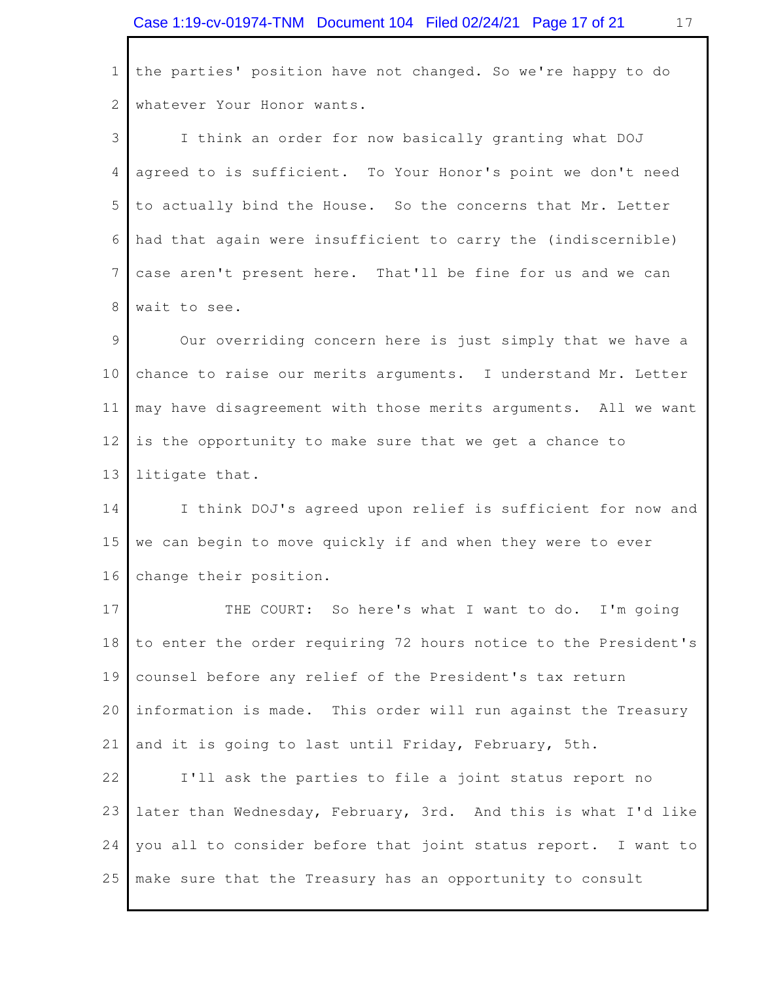the parties' position have not changed. So we're happy to do whatever Your Honor wants. I think an order for now basically granting what DOJ agreed to is sufficient. To Your Honor's point we don't need to actually bind the House. So the concerns that Mr. Letter had that again were insufficient to carry the (indiscernible) case aren't present here. That'll be fine for us and we can wait to see. Our overriding concern here is just simply that we have a chance to raise our merits arguments. I understand Mr. Letter may have disagreement with those merits arguments. All we want is the opportunity to make sure that we get a chance to litigate that. I think DOJ's agreed upon relief is sufficient for now and we can begin to move quickly if and when they were to ever change their position. THE COURT: So here's what I want to do. I'm going to enter the order requiring 72 hours notice to the President's counsel before any relief of the President's tax return information is made. This order will run against the Treasury and it is going to last until Friday, February, 5th. I'll ask the parties to file a joint status report no later than Wednesday, February, 3rd. And this is what I'd like you all to consider before that joint status report. I want to 25 make sure that the Treasury has an opportunity to consult 1 2 3 4 5 6 7 8 9 10 11 12 13 14 15 16 17 18 19 20 21 22 23 24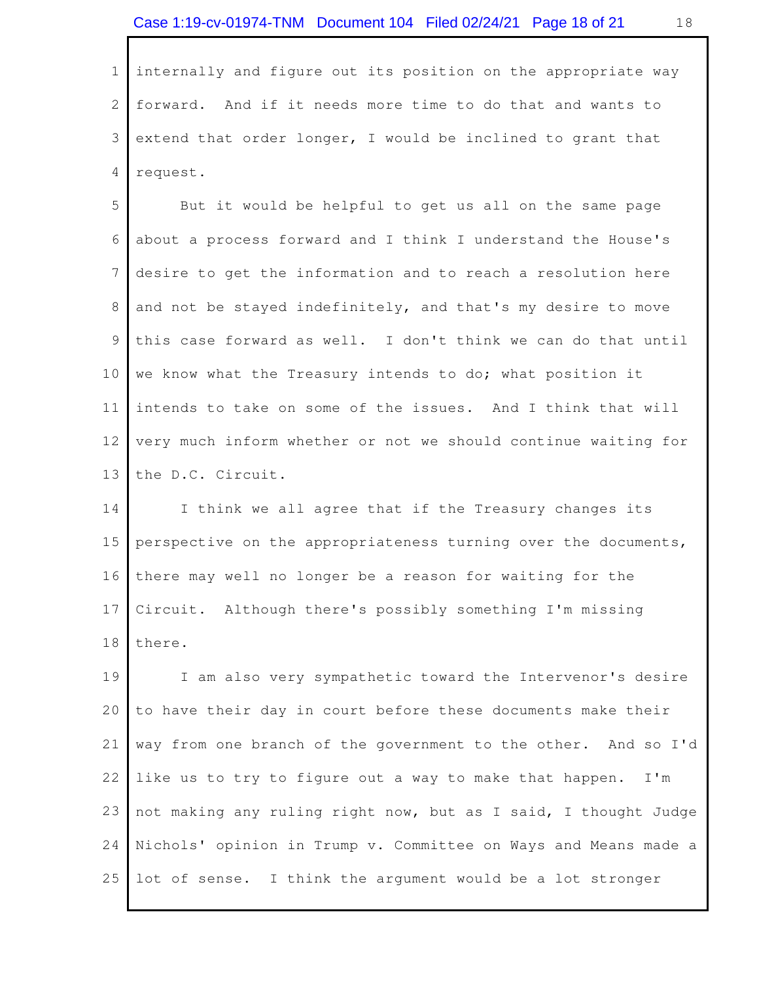internally and figure out its position on the appropriate way forward. And if it needs more time to do that and wants to extend that order longer, I would be inclined to grant that 1 2 3 4 request.

 But it would be helpful to get us all on the same page about a process forward and I think I understand the House's desire to get the information and to reach a resolution here and not be stayed indefinitely, and that's my desire to move this case forward as well. I don't think we can do that until we know what the Treasury intends to do; what position it intends to take on some of the issues. And I think that will very much inform whether or not we should continue waiting for the D.C. Circuit. 5 6 7 8 9 10 11 12 13

 I think we all agree that if the Treasury changes its perspective on the appropriateness turning over the documents, there may well no longer be a reason for waiting for the Circuit. Although there's possibly something I'm missing 14 15 16 17 18 there.

 I am also very sympathetic toward the Intervenor's desire to have their day in court before these documents make their way from one branch of the government to the other. And so I'd like us to try to figure out a way to make that happen. I'm not making any ruling right now, but as I said, I thought Judge Nichols' opinion in Trump v. Committee on Ways and Means made a 25 lot of sense. I think the argument would be a lot stronger 19 20 21 22 23 24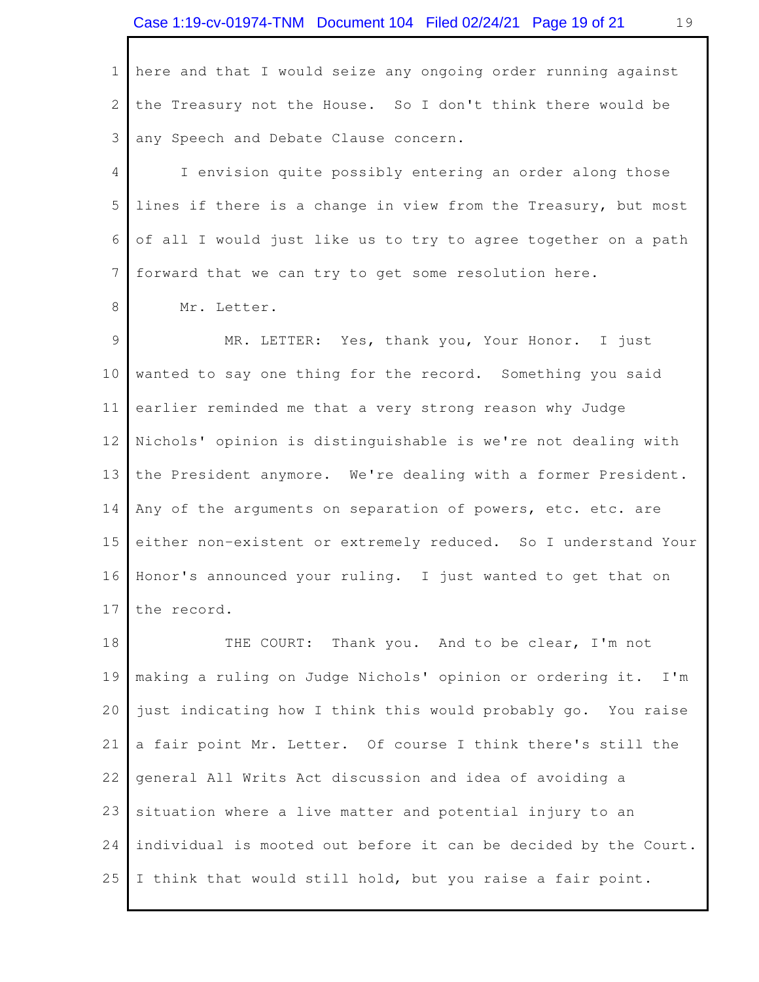<span id="page-18-0"></span> here and that I would seize any ongoing order running against the Treasury not the House. So I don't think there would be any Speech and Debate Clause concern. 1 2 3

 I envision quite possibly entering an order along those lines if there is a change in view from the Treasury, but most of all I would just like us to try to agree together on a path forward that we can try to get some resolution here. 4 5 6 7

 Mr. Letter. 8

 MR. LETTER: Yes, thank you, Your Honor. I just wanted to say one thing for the record. Something you said earlier reminded me that a very strong reason why Judge Nichols' opinion is distinguishable is we're not dealing with the President anymore. We're dealing with a former President. Any of the arguments on separation of powers, etc. etc. are either non-existent or extremely reduced. So I understand Your Honor's announced your ruling. I just wanted to get that on 9 10 11 12 13 14 15 16 17 the record.

THE COURT: Thank you. And to be clear, I'm not making a ruling on Judge Nichols' opinion or ordering it. I'm just indicating how I think this would probably go. You raise a fair point Mr. Letter. Of course I think there's still the general All Writs Act discussion and idea of avoiding a situation where a live matter and potential injury to an individual is mooted out before it can be decided by the Court. 25 I think that would still hold, but you raise a fair point. 18 19 20 21 22 23 24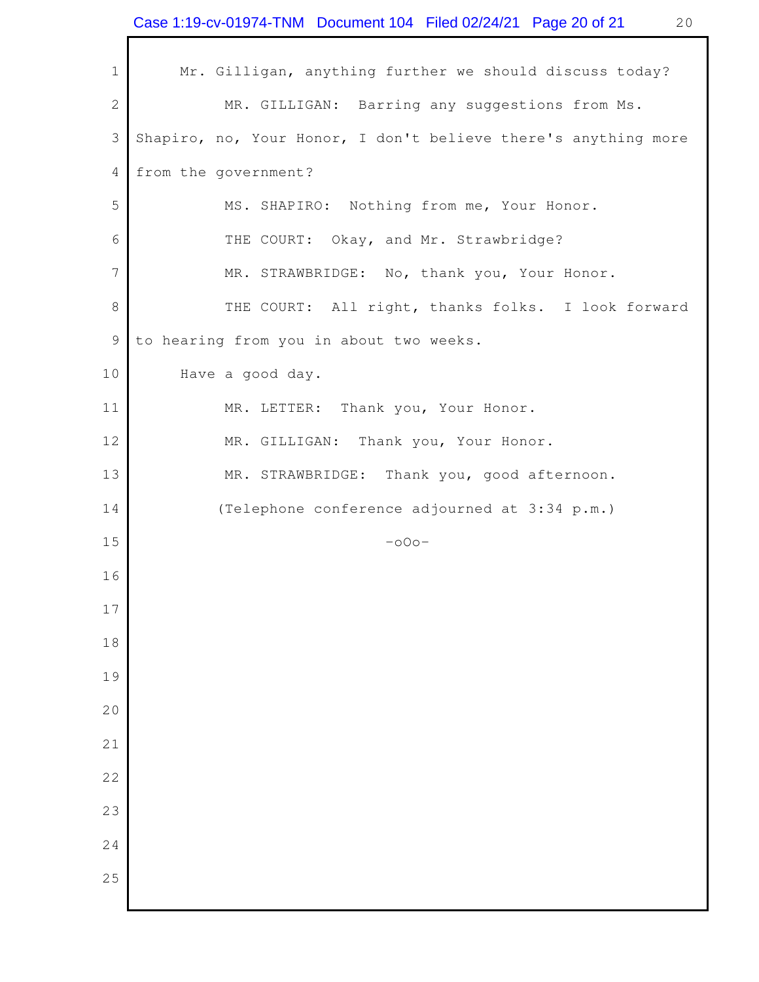|              | Case 1:19-cv-01974-TNM  Document 104  Filed 02/24/21  Page 20 of 21<br>20 |
|--------------|---------------------------------------------------------------------------|
| $\mathbf 1$  | Mr. Gilligan, anything further we should discuss today?                   |
| $\mathbf{2}$ | MR. GILLIGAN: Barring any suggestions from Ms.                            |
| 3            | Shapiro, no, Your Honor, I don't believe there's anything more            |
| 4            | from the government?                                                      |
| 5            | MS. SHAPIRO: Nothing from me, Your Honor.                                 |
| 6            | THE COURT: Okay, and Mr. Strawbridge?                                     |
| 7            | MR. STRAWBRIDGE: No, thank you, Your Honor.                               |
| $8\,$        | THE COURT: All right, thanks folks. I look forward                        |
| 9            | to hearing from you in about two weeks.                                   |
| 10           | Have a good day.                                                          |
| 11           | MR. LETTER: Thank you, Your Honor.                                        |
| 12           | MR. GILLIGAN: Thank you, Your Honor.                                      |
| 13           | MR. STRAWBRIDGE: Thank you, good afternoon.                               |
| 14           | (Telephone conference adjourned at 3:34 p.m.)                             |
| 15           | $-000-$                                                                   |
| 16           |                                                                           |
| 17           |                                                                           |
| 18           |                                                                           |
| 19           |                                                                           |
| 20           |                                                                           |
| 21           |                                                                           |
| 22           |                                                                           |
| 23           |                                                                           |
| 24           |                                                                           |
| 25           |                                                                           |
|              |                                                                           |